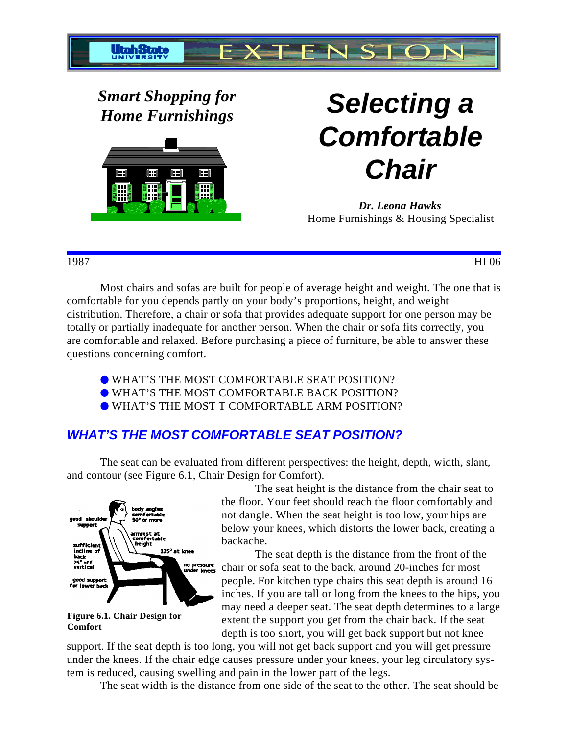

*Smart Shopping for*



# *Home Furnishings* **Selecting a Comfortable Chair**

*Dr. Leona Hawks* Home Furnishings & Housing Specialist

1987 HI 06

Most chairs and sofas are built for people of average height and weight. The one that is comfortable for you depends partly on your body's proportions, height, and weight distribution. Therefore, a chair or sofa that provides adequate support for one person may be totally or partially inadequate for another person. When the chair or sofa fits correctly, you are comfortable and relaxed. Before purchasing a piece of furniture, be able to answer these questions concerning comfort.

- WHAT'S THE MOST COMFORTABLE SEAT POSITION?
- WHAT'S THE MOST COMFORTABLE BACK POSITION?
- WHAT'S THE MOST T COMFORTABLE ARM POSITION?

## **WHAT'S THE MOST COMFORTABLE SEAT POSITION?**

The seat can be evaluated from different perspectives: the height, depth, width, slant, and contour (see Figure 6.1, Chair Design for Comfort).



**Figure 6.1. Chair Design for Comfort**

The seat height is the distance from the chair seat to the floor. Your feet should reach the floor comfortably and not dangle. When the seat height is too low, your hips are below your knees, which distorts the lower back, creating a backache.

The seat depth is the distance from the front of the chair or sofa seat to the back, around 20-inches for most people. For kitchen type chairs this seat depth is around 16 inches. If you are tall or long from the knees to the hips, you may need a deeper seat. The seat depth determines to a large extent the support you get from the chair back. If the seat depth is too short, you will get back support but not knee

support. If the seat depth is too long, you will not get back support and you will get pressure under the knees. If the chair edge causes pressure under your knees, your leg circulatory system is reduced, causing swelling and pain in the lower part of the legs.

The seat width is the distance from one side of the seat to the other. The seat should be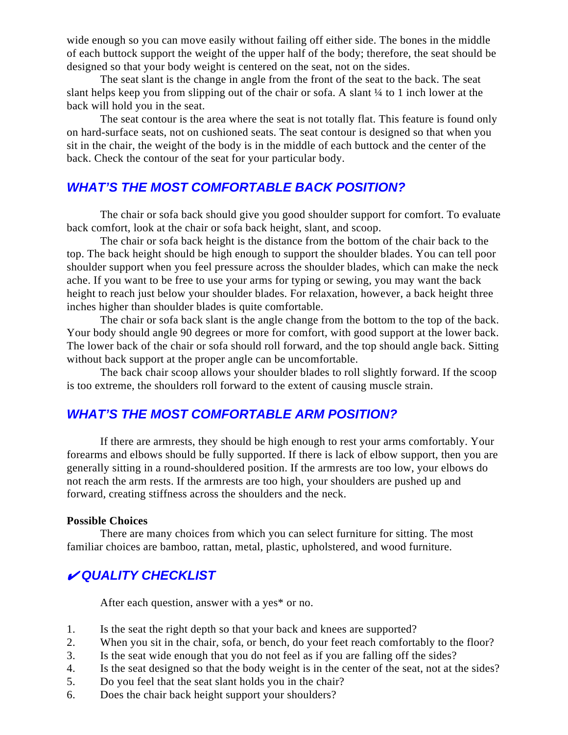wide enough so you can move easily without failing off either side. The bones in the middle of each buttock support the weight of the upper half of the body; therefore, the seat should be designed so that your body weight is centered on the seat, not on the sides.

The seat slant is the change in angle from the front of the seat to the back. The seat slant helps keep you from slipping out of the chair or sofa. A slant  $\frac{1}{4}$  to 1 inch lower at the back will hold you in the seat.

The seat contour is the area where the seat is not totally flat. This feature is found only on hard-surface seats, not on cushioned seats. The seat contour is designed so that when you sit in the chair, the weight of the body is in the middle of each buttock and the center of the back. Check the contour of the seat for your particular body.

#### **WHAT'S THE MOST COMFORTABLE BACK POSITION?**

The chair or sofa back should give you good shoulder support for comfort. To evaluate back comfort, look at the chair or sofa back height, slant, and scoop.

The chair or sofa back height is the distance from the bottom of the chair back to the top. The back height should be high enough to support the shoulder blades. You can tell poor shoulder support when you feel pressure across the shoulder blades, which can make the neck ache. If you want to be free to use your arms for typing or sewing, you may want the back height to reach just below your shoulder blades. For relaxation, however, a back height three inches higher than shoulder blades is quite comfortable.

The chair or sofa back slant is the angle change from the bottom to the top of the back. Your body should angle 90 degrees or more for comfort, with good support at the lower back. The lower back of the chair or sofa should roll forward, and the top should angle back. Sitting without back support at the proper angle can be uncomfortable.

The back chair scoop allows your shoulder blades to roll slightly forward. If the scoop is too extreme, the shoulders roll forward to the extent of causing muscle strain.

#### **WHAT'S THE MOST COMFORTABLE ARM POSITION?**

If there are armrests, they should be high enough to rest your arms comfortably. Your forearms and elbows should be fully supported. If there is lack of elbow support, then you are generally sitting in a round-shouldered position. If the armrests are too low, your elbows do not reach the arm rests. If the armrests are too high, your shoulders are pushed up and forward, creating stiffness across the shoulders and the neck.

#### **Possible Choices**

There are many choices from which you can select furniture for sitting. The most familiar choices are bamboo, rattan, metal, plastic, upholstered, and wood furniture.

### **QUALITY CHECKLIST**

After each question, answer with a yes\* or no.

- 1. Is the seat the right depth so that your back and knees are supported?
- 2. When you sit in the chair, sofa, or bench, do your feet reach comfortably to the floor?
- 3. Is the seat wide enough that you do not feel as if you are falling off the sides?
- 4. Is the seat designed so that the body weight is in the center of the seat, not at the sides?
- 5. Do you feel that the seat slant holds you in the chair?
- 6. Does the chair back height support your shoulders?